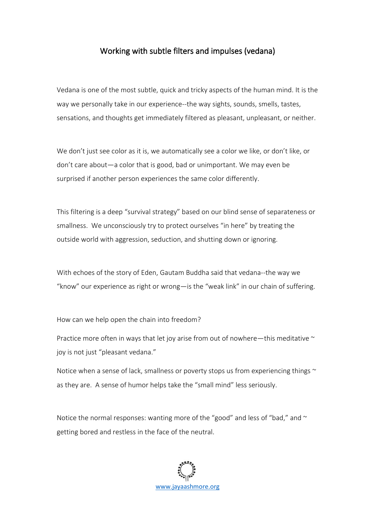## Working with subtle filters and impulses (vedana)

Vedana is one of the most subtle, quick and tricky aspects of the human mind. It is the way we personally take in our experience--the way sights, sounds, smells, tastes, sensations, and thoughts get immediately filtered as pleasant, unpleasant, or neither.

We don't just see color as it is, we automatically see a color we like, or don't like, or don't care about—a color that is good, bad or unimportant. We may even be surprised if another person experiences the same color differently.

This filtering is a deep "survival strategy" based on our blind sense of separateness or smallness. We unconsciously try to protect ourselves "in here" by treating the outside world with aggression, seduction, and shutting down or ignoring.

With echoes of the story of Eden, Gautam Buddha said that vedana--the way we "know" our experience as right or wrong—is the "weak link" in our chain of suffering.

How can we help open the chain into freedom?

Practice more often in ways that let joy arise from out of nowhere—this meditative  $\sim$ joy is not just "pleasant vedana."

Notice when a sense of lack, smallness or poverty stops us from experiencing things  $\sim$ as they are. A sense of humor helps take the "small mind" less seriously.

Notice the normal responses: wanting more of the "good" and less of "bad," and  $\sim$ getting bored and restless in the face of the neutral.